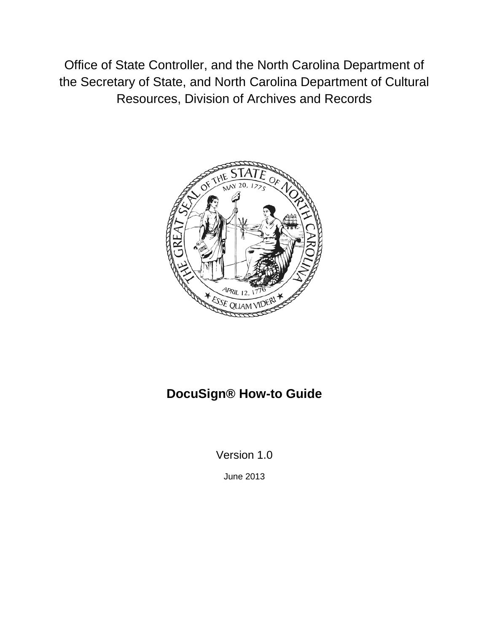Office of State Controller, and the North Carolina Department of the Secretary of State, and North Carolina Department of Cultural Resources, Division of Archives and Records



# **DocuSign® How-to Guide**

Version 1.0

June 2013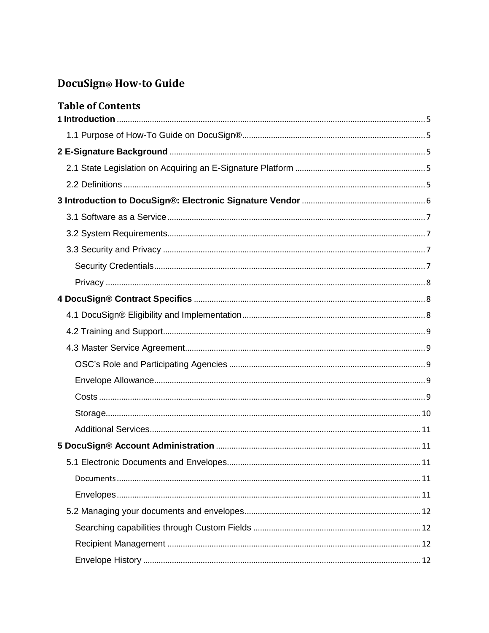# DocuSign® How-to Guide

| <b>Table of Contents</b> |  |
|--------------------------|--|
|                          |  |
|                          |  |
|                          |  |
|                          |  |
|                          |  |
|                          |  |
|                          |  |
|                          |  |
|                          |  |
|                          |  |
|                          |  |
|                          |  |
|                          |  |
|                          |  |
|                          |  |
|                          |  |
|                          |  |
|                          |  |
|                          |  |
|                          |  |
|                          |  |
|                          |  |
|                          |  |
|                          |  |
|                          |  |
|                          |  |
|                          |  |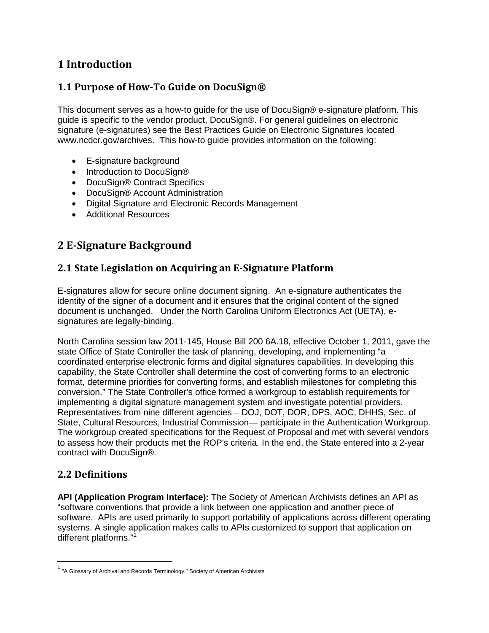# <span id="page-3-0"></span>**1 Introduction**

# <span id="page-3-1"></span>**1.1 Purpose of How-To Guide on DocuSign®**

This document serves as a how-to guide for the use of DocuSign® e-signature platform. This guide is specific to the vendor product, DocuSign®. For general guidelines on electronic signature (e-signatures) see the Best Practices Guide on Electronic Signatures located www.ncdcr.gov/archives. This how-to guide provides information on the following:

- E-signature background
- Introduction to DocuSign®
- DocuSign® Contract Specifics
- DocuSign® Account Administration
- Digital Signature and Electronic Records Management
- <span id="page-3-2"></span>• Additional Resources

# **2 E-Signature Background**

### <span id="page-3-3"></span>**2.1 State Legislation on Acquiring an E-Signature Platform**

E-signatures allow for secure online document signing. An e-signature authenticates the identity of the signer of a document and it ensures that the original content of the signed document is unchanged. Under the North Carolina Uniform Electronics Act (UETA), esignatures are legally-binding.

North Carolina session law 2011-145, House Bill 200 6A.18, effective October 1, 2011, gave the state Office of State Controller the task of planning, developing, and implementing "a coordinated enterprise electronic forms and digital signatures capabilities. In developing this capability, the State Controller shall determine the cost of converting forms to an electronic format, determine priorities for converting forms, and establish milestones for completing this conversion." The State Controller's office formed a workgroup to establish requirements for implementing a digital signature management system and investigate potential providers. Representatives from nine different agencies – DOJ, DOT, DOR, DPS, AOC, DHHS, Sec. of State, Cultural Resources, Industrial Commission— participate in the Authentication Workgroup. The workgroup created specifications for the Request of Proposal and met with several vendors to assess how their products met the ROP's criteria. In the end, the State entered into a 2-year contract with DocuSign®.

## <span id="page-3-4"></span>**2.2 Definitions**

**API (Application Program Interface):** The Society of American Archivists defines an API as "software conventions that provide a link between one application and another piece of software. APIs are used primarily to support portability of applications across different operating systems. A single application makes calls to APIs customized to support that application on different platforms."[1](#page-3-5)

<span id="page-3-5"></span><sup>&</sup>lt;sup>1</sup> "A Glossary of Archival and Records Terminology." Society of American Archivists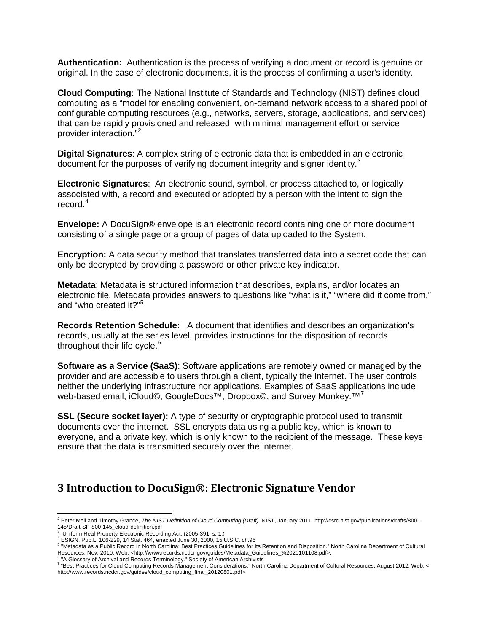**Authentication:** Authentication is the process of verifying a document or record is genuine or original. In the case of electronic documents, it is the process of confirming a user's identity.

**Cloud Computing:** The National Institute of Standards and Technology (NIST) defines cloud computing as a "model for enabling convenient, on-demand network access to a shared pool of configurable computing resources (e.g., networks, servers, storage, applications, and services) that can be rapidly provisioned and released with minimal management effort or service provider interaction."[2](#page-4-1)

**Digital Signatures**: A complex string of electronic data that is embedded in an electronic document for the purposes of verifying document integrity and signer identity.<sup>[3](#page-4-2)</sup>

**Electronic Signatures**: An electronic sound, symbol, or process attached to, or logically associated with, a record and executed or adopted by a person with the intent to sign the record.<sup>[4](#page-4-3)</sup>

**Envelope:** A DocuSign® envelope is an electronic record containing one or more document consisting of a single page or a group of pages of data uploaded to the System.

**Encryption:** A data security method that translates transferred data into a secret code that can only be decrypted by providing a password or other private key indicator.

**Metadata**: Metadata is structured information that describes, explains, and/or locates an electronic file. Metadata provides answers to questions like "what is it," "where did it come from," and "who created it?"<sup>[5](#page-4-4)</sup>

**Records Retention Schedule:** A document that identifies and describes an organization's records, usually at the series level, provides instructions for the disposition of records throughout their life cycle. $6$ 

**Software as a Service (SaaS)**: Software applications are remotely owned or managed by the provider and are accessible to users through a client, typically the Internet. The user controls neither the underlying infrastructure nor applications. Examples of SaaS applications include web-based email, iCloud©, GoogleDocs<sup>™,</sup> Dropbox©, and Survey Monkey.<sup>™[7](#page-4-6)</sup>

**SSL (Secure socket layer):** A type of security or cryptographic protocol used to transmit documents over the internet. SSL encrypts data using a public key, which is known to everyone, and a private key, which is only known to the recipient of the message. These keys ensure that the data is transmitted securely over the internet.

# <span id="page-4-0"></span>**3 Introduction to DocuSign®: Electronic Signature Vendor**

<span id="page-4-1"></span> $\overline{\phantom{a}}$ <sup>2</sup> Peter Mell and Timothy Grance, *The NIST Definition of Cloud Computing (Draft),* NIST, January 2011. http://csrc.nist.gov/publications/drafts/800- 145/Draft-SP-800-145\_cloud-definition.pdf<br>
<sup>3</sup> Uniform Real Property Electronic Recording Act. (2005-391, s. 1.)

<span id="page-4-4"></span><span id="page-4-3"></span><span id="page-4-2"></span><sup>&</sup>lt;sup>4</sup> ESIGN, Pub.L. 106-229, 14 Stat. 464, enacted June 30, 2000, 15 U.S.C. ch.96<br><sup>5</sup> "Metadata as a Public Record in North Carolina: Best Practices Guidelines for Its Retention and Disposition." North Carolina Department of Resources, Nov. 2010. Web. <http://www.records.ncdcr.gov/guides/Metadata\_Guidelines\_%2020101108.pdf>.<br>
6 "A Glossary of Archival and Records Terminology." Society of American Archivists

<span id="page-4-5"></span>

<span id="page-4-6"></span><sup>7</sup> "Best Practices for Cloud Computing Records Management Considerations." North Carolina Department of Cultural Resources. August 2012. Web. < http://www.records.ncdcr.gov/guides/cloud\_computing\_final\_20120801.pdf>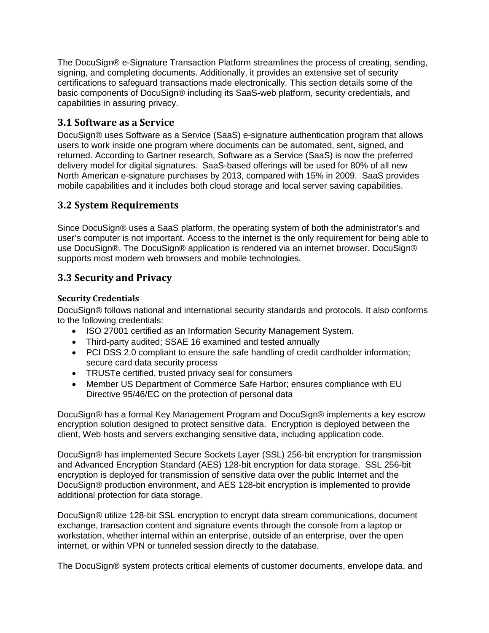The DocuSign® e-Signature Transaction Platform streamlines the process of creating, sending, signing, and completing documents. Additionally, it provides an extensive set of security certifications to safeguard transactions made electronically. This section details some of the basic components of DocuSign® including its SaaS-web platform, security credentials, and capabilities in assuring privacy.

# <span id="page-5-0"></span>**3.1 Software as a Service**

DocuSign® uses Software as a Service (SaaS) e-signature authentication program that allows users to work inside one program where documents can be automated, sent, signed, and returned. According to Gartner research, Software as a Service (SaaS) is now the preferred delivery model for digital signatures. SaaS-based offerings will be used for 80% of all new North American e-signature purchases by 2013, compared with 15% in 2009. SaaS provides mobile capabilities and it includes both cloud storage and local server saving capabilities.

# <span id="page-5-1"></span>**3.2 System Requirements**

Since DocuSign® uses a SaaS platform, the operating system of both the administrator's and user's computer is not important. Access to the internet is the only requirement for being able to use DocuSign®. The DocuSign® application is rendered via an internet browser. DocuSign® supports most modern web browsers and mobile technologies.

## <span id="page-5-2"></span>**3.3 Security and Privacy**

#### <span id="page-5-3"></span>**Security Credentials**

DocuSign® follows national and international security standards and protocols. It also conforms to the following credentials:

- ISO 27001 certified as an Information Security Management System.
- Third-party audited; SSAE 16 examined and tested annually
- PCI DSS 2.0 compliant to ensure the safe handling of credit cardholder information; secure card data security process
- TRUSTe certified, trusted privacy seal for consumers
- Member US Department of Commerce Safe Harbor; ensures compliance with EU Directive 95/46/EC on the protection of personal data

DocuSign® has a formal Key Management Program and DocuSign® implements a key escrow encryption solution designed to protect sensitive data. Encryption is deployed between the client, Web hosts and servers exchanging sensitive data, including application code.

DocuSign® has implemented Secure Sockets Layer (SSL) 256-bit encryption for transmission and Advanced Encryption Standard (AES) 128-bit encryption for data storage. SSL 256-bit encryption is deployed for transmission of sensitive data over the public Internet and the DocuSign® production environment, and AES 128-bit encryption is implemented to provide additional protection for data storage.

DocuSign® utilize 128-bit SSL encryption to encrypt data stream communications, document exchange, transaction content and signature events through the console from a laptop or workstation, whether internal within an enterprise, outside of an enterprise, over the open internet, or within VPN or tunneled session directly to the database.

The DocuSign® system protects critical elements of customer documents, envelope data, and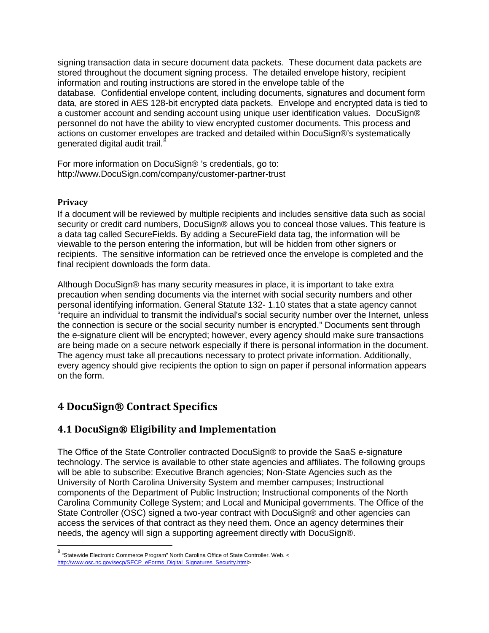signing transaction data in secure document data packets. These document data packets are stored throughout the document signing process. The detailed envelope history, recipient information and routing instructions are stored in the envelope table of the database. Confidential envelope content, including documents, signatures and document form data, are stored in AES 128-bit encrypted data packets. Envelope and encrypted data is tied to a customer account and sending account using unique user identification values. DocuSign® personnel do not have the ability to view encrypted customer documents. This process and actions on customer envelopes are tracked and detailed within DocuSign®'s systematically generated digital audit trail.<sup>[8](#page-6-3)</sup>

For more information on DocuSign® 's credentials, go to: http://www.DocuSign.com/company/customer-partner-trust

#### <span id="page-6-0"></span>**Privacy**

If a document will be reviewed by multiple recipients and includes sensitive data such as social security or credit card numbers, DocuSign® allows you to conceal those values. This feature is a data tag called SecureFields. By adding a SecureField data tag, the information will be viewable to the person entering the information, but will be hidden from other signers or recipients. The sensitive information can be retrieved once the envelope is completed and the final recipient downloads the form data.

Although DocuSign® has many security measures in place, it is important to take extra precaution when sending documents via the internet with social security numbers and other personal identifying information. General Statute 132- 1.10 states that a state agency cannot "require an individual to transmit the individual's social security number over the Internet, unless the connection is secure or the social security number is encrypted." Documents sent through the e-signature client will be encrypted; however, every agency should make sure transactions are being made on a secure network especially if there is personal information in the document. The agency must take all precautions necessary to protect private information. Additionally, every agency should give recipients the option to sign on paper if personal information appears on the form.

# <span id="page-6-1"></span>**4 DocuSign® Contract Specifics**

## <span id="page-6-2"></span>**4.1 DocuSign® Eligibility and Implementation**

The Office of the State Controller contracted DocuSign® to provide the SaaS e-signature technology. The service is available to other state agencies and affiliates. The following groups will be able to subscribe: Executive Branch agencies; Non-State Agencies such as the University of North Carolina University System and member campuses; Instructional components of the Department of Public Instruction; Instructional components of the North Carolina Community College System; and Local and Municipal governments. The Office of the State Controller (OSC) signed a two-year contract with DocuSign® and other agencies can access the services of that contract as they need them. Once an agency determines their needs, the agency will sign a supporting agreement directly with DocuSign®.

<span id="page-6-3"></span> <sup>8</sup> "Statewide Electronic Commerce Program" North Carolina Office of State Controller. Web. < [http://www.osc.nc.gov/secp/SECP\\_eForms\\_Digital\\_Signatures\\_Security.html>](http://www.osc.nc.gov/secp/SECP_eForms_Digital_Signatures_Security.html)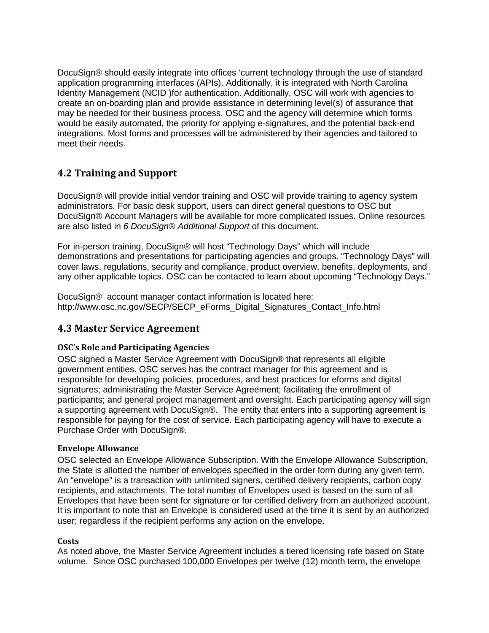DocuSign® should easily integrate into offices 'current technology through the use of standard application programming interfaces (APIs). Additionally, it is integrated with North Carolina Identity Management (NCID )for authentication. Additionally, OSC will work with agencies to create an on-boarding plan and provide assistance in determining level(s) of assurance that may be needed for their business process. OSC and the agency will determine which forms would be easily automated, the priority for applying e-signatures, and the potential back-end integrations. Most forms and processes will be administered by their agencies and tailored to meet their needs.

# <span id="page-7-0"></span>**4.2 Training and Support**

DocuSign® will provide initial vendor training and OSC will provide training to agency system administrators. For basic desk support, users can direct general questions to OSC but DocuSign® Account Managers will be available for more complicated issues. Online resources are also listed in *6 DocuSign® Additional Support* of this document.

For in-person training, DocuSign® will host "Technology Days" which will include demonstrations and presentations for participating agencies and groups. "Technology Days" will cover laws, regulations, security and compliance, product overview, benefits, deployments, and any other applicable topics. OSC can be contacted to learn about upcoming "Technology Days."

DocuSign® account manager contact information is located here: http://www.osc.nc.gov/SECP/SECP\_eForms\_Digital\_Signatures\_Contact\_Info.html

## <span id="page-7-1"></span>**4.3 Master Service Agreement**

#### <span id="page-7-2"></span>**OSC's Role and Participating Agencies**

OSC signed a Master Service Agreement with DocuSign® that represents all eligible government entities. OSC serves has the contract manager for this agreement and is responsible for developing policies, procedures, and best practices for eforms and digital signatures; administrating the Master Service Agreement; facilitating the enrollment of participants; and general project management and oversight. Each participating agency will sign a supporting agreement with DocuSign®. The entity that enters into a supporting agreement is responsible for paying for the cost of service. Each participating agency will have to execute a Purchase Order with DocuSign®.

#### <span id="page-7-3"></span>**Envelope Allowance**

OSC selected an Envelope Allowance Subscription. With the Envelope Allowance Subscription, the State is allotted the number of envelopes specified in the order form during any given term. An "envelope" is a transaction with unlimited signers, certified delivery recipients, carbon copy recipients, and attachments. The total number of Envelopes used is based on the sum of all Envelopes that have been sent for signature or for certified delivery from an authorized account. It is important to note that an Envelope is considered used at the time it is sent by an authorized user; regardless if the recipient performs any action on the envelope.

#### <span id="page-7-4"></span>**Costs**

As noted above, the Master Service Agreement includes a tiered licensing rate based on State volume. Since OSC purchased 100,000 Envelopes per twelve (12) month term, the envelope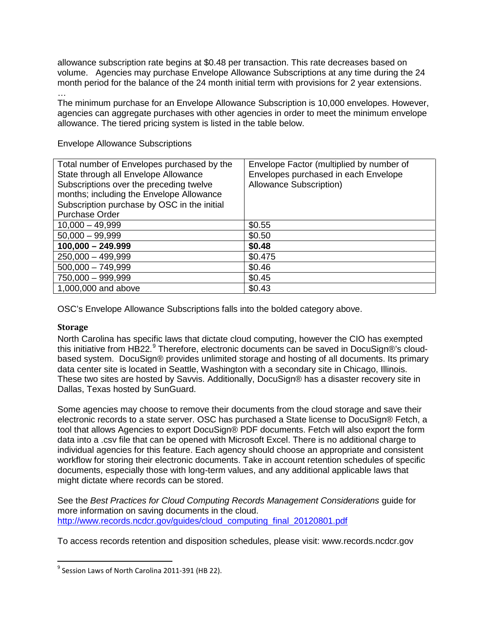allowance subscription rate begins at \$0.48 per transaction. This rate decreases based on volume. Agencies may purchase Envelope Allowance Subscriptions at any time during the 24 month period for the balance of the 24 month initial term with provisions for 2 year extensions. …

The minimum purchase for an Envelope Allowance Subscription is 10,000 envelopes. However, agencies can aggregate purchases with other agencies in order to meet the minimum envelope allowance. The tiered pricing system is listed in the table below.

| Total number of Envelopes purchased by the<br>State through all Envelope Allowance<br>Subscriptions over the preceding twelve<br>months; including the Envelope Allowance<br>Subscription purchase by OSC in the initial<br><b>Purchase Order</b> | Envelope Factor (multiplied by number of<br>Envelopes purchased in each Envelope<br>Allowance Subscription) |
|---------------------------------------------------------------------------------------------------------------------------------------------------------------------------------------------------------------------------------------------------|-------------------------------------------------------------------------------------------------------------|
| $10,000 - 49,999$                                                                                                                                                                                                                                 | \$0.55                                                                                                      |
| $50,000 - 99,999$                                                                                                                                                                                                                                 | \$0.50                                                                                                      |
| $100,000 - 249.999$                                                                                                                                                                                                                               | \$0.48                                                                                                      |
| $250,000 - 499,999$                                                                                                                                                                                                                               | \$0.475                                                                                                     |
| $500,000 - 749,999$                                                                                                                                                                                                                               | \$0.46                                                                                                      |
| 750,000 - 999,999                                                                                                                                                                                                                                 | \$0.45                                                                                                      |
| 1,000,000 and above                                                                                                                                                                                                                               | \$0.43                                                                                                      |

Envelope Allowance Subscriptions

OSC's Envelope Allowance Subscriptions falls into the bolded category above.

#### <span id="page-8-0"></span>**Storage**

North Carolina has specific laws that dictate cloud computing, however the CIO has exempted this initiative from HB22.<sup>[9](#page-8-1)</sup> Therefore, electronic documents can be saved in DocuSign®'s cloudbased system. DocuSign® provides unlimited storage and hosting of all documents. Its primary data center site is located in Seattle, Washington with a secondary site in Chicago, Illinois. These two sites are hosted by Savvis. Additionally, DocuSign® has a disaster recovery site in Dallas, Texas hosted by SunGuard.

Some agencies may choose to remove their documents from the cloud storage and save their electronic records to a state server. OSC has purchased a State license to DocuSign® Fetch, a tool that allows Agencies to export DocuSign® PDF documents. Fetch will also export the form data into a .csv file that can be opened with Microsoft Excel. There is no additional charge to individual agencies for this feature. Each agency should choose an appropriate and consistent workflow for storing their electronic documents. Take in account retention schedules of specific documents, especially those with long-term values, and any additional applicable laws that might dictate where records can be stored.

See the *Best Practices for Cloud Computing Records Management Considerations* guide for more information on saving documents in the cloud. [http://www.records.ncdcr.gov/guides/cloud\\_computing\\_final\\_20120801.pdf](http://www.records.ncdcr.gov/guides/cloud_computing_final_20120801.pdf)

To access records retention and disposition schedules, please visit: www.records.ncdcr.gov

<span id="page-8-1"></span> $9$  Session Laws of North Carolina 2011-391 (HB 22).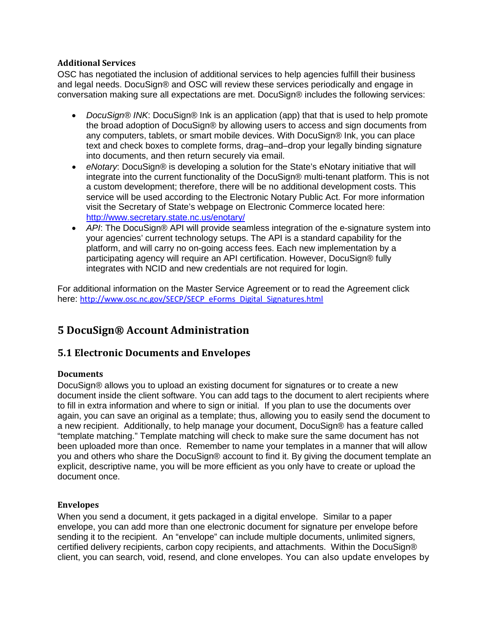#### <span id="page-9-0"></span>**Additional Services**

OSC has negotiated the inclusion of additional services to help agencies fulfill their business and legal needs. DocuSign® and OSC will review these services periodically and engage in conversation making sure all expectations are met. DocuSign® includes the following services:

- *DocuSign® INK*: DocuSign® Ink is an application (app) that that is used to help promote the broad adoption of DocuSign® by allowing users to access and sign documents from any computers, tablets, or smart mobile devices. With DocuSign® Ink, you can place text and check boxes to complete forms, drag–and–drop your legally binding signature into documents, and then return securely via email.
- *eNotary*: DocuSign® is developing a solution for the State's eNotary initiative that will integrate into the current functionality of the DocuSign® multi-tenant platform. This is not a custom development; therefore, there will be no additional development costs. This service will be used according to the Electronic Notary Public Act. For more information visit the Secretary of State's webpage on Electronic Commerce located here: <http://www.secretary.state.nc.us/enotary/>
- API: The DocuSign® API will provide seamless integration of the e-signature system into your agencies' current technology setups. The API is a standard capability for the platform, and will carry no on-going access fees. Each new implementation by a participating agency will require an API certification. However, DocuSign® fully integrates with NCID and new credentials are not required for login.

For additional information on the Master Service Agreement or to read the Agreement click here: [http://www.osc.nc.gov/SECP/SECP\\_eForms\\_Digital\\_Signatures.html](http://www.osc.nc.gov/SECP/SECP_eForms_Digital_Signatures.html)

# <span id="page-9-1"></span>**5 DocuSign® Account Administration**

## <span id="page-9-2"></span>**5.1 Electronic Documents and Envelopes**

#### <span id="page-9-3"></span>**Documents**

DocuSign® allows you to upload an existing document for signatures or to create a new document inside the client software. You can add tags to the document to alert recipients where to fill in extra information and where to sign or initial. If you plan to use the documents over again, you can save an original as a template; thus, allowing you to easily send the document to a new recipient. Additionally, to help manage your document, DocuSign® has a feature called "template matching." Template matching will check to make sure the same document has not been uploaded more than once. Remember to name your templates in a manner that will allow you and others who share the DocuSign® account to find it. By giving the document template an explicit, descriptive name, you will be more efficient as you only have to create or upload the document once.

#### <span id="page-9-4"></span>**Envelopes**

When you send a document, it gets packaged in a digital envelope. Similar to a paper envelope, you can add more than one electronic document for signature per envelope before sending it to the recipient. An "envelope" can include multiple documents, unlimited signers, certified delivery recipients, carbon copy recipients, and attachments. Within the DocuSign® client, you can search, void, resend, and clone envelopes. You can also update envelopes by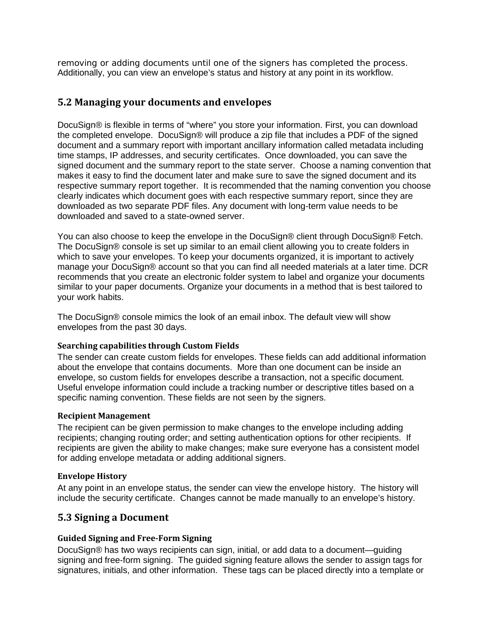removing or adding documents until one of the signers has completed the process. Additionally, you can view an envelope's status and history at any point in its workflow.

### <span id="page-10-0"></span>**5.2 Managing your documents and envelopes**

DocuSign® is flexible in terms of "where" you store your information. First, you can download the completed envelope. DocuSign® will produce a zip file that includes a PDF of the signed document and a summary report with important ancillary information called metadata including time stamps, IP addresses, and security certificates. Once downloaded, you can save the signed document and the summary report to the state server. Choose a naming convention that makes it easy to find the document later and make sure to save the signed document and its respective summary report together. It is recommended that the naming convention you choose clearly indicates which document goes with each respective summary report, since they are downloaded as two separate PDF files. Any document with long-term value needs to be downloaded and saved to a state-owned server.

You can also choose to keep the envelope in the DocuSign® client through DocuSign® Fetch. The DocuSign® console is set up similar to an email client allowing you to create folders in which to save your envelopes. To keep your documents organized, it is important to actively manage your DocuSign® account so that you can find all needed materials at a later time. DCR recommends that you create an electronic folder system to label and organize your documents similar to your paper documents. Organize your documents in a method that is best tailored to your work habits.

The DocuSign® console mimics the look of an email inbox. The default view will show envelopes from the past 30 days.

#### <span id="page-10-1"></span>**Searching capabilities through Custom Fields**

The sender can create custom fields for envelopes. These fields can add additional information about the envelope that contains documents. More than one document can be inside an envelope, so custom fields for envelopes describe a transaction, not a specific document. Useful envelope information could include a tracking number or descriptive titles based on a specific naming convention. These fields are not seen by the signers.

#### <span id="page-10-2"></span>**Recipient Management**

The recipient can be given permission to make changes to the envelope including adding recipients; changing routing order; and setting authentication options for other recipients. If recipients are given the ability to make changes; make sure everyone has a consistent model for adding envelope metadata or adding additional signers.

#### <span id="page-10-3"></span>**Envelope History**

At any point in an envelope status, the sender can view the envelope history. The history will include the security certificate. Changes cannot be made manually to an envelope's history.

#### <span id="page-10-4"></span>**5.3 Signing a Document**

#### <span id="page-10-5"></span>**Guided Signing and Free-Form Signing**

DocuSign® has two ways recipients can sign, initial, or add data to a document—guiding signing and free-form signing. The guided signing feature allows the sender to assign tags for signatures, initials, and other information. These tags can be placed directly into a template or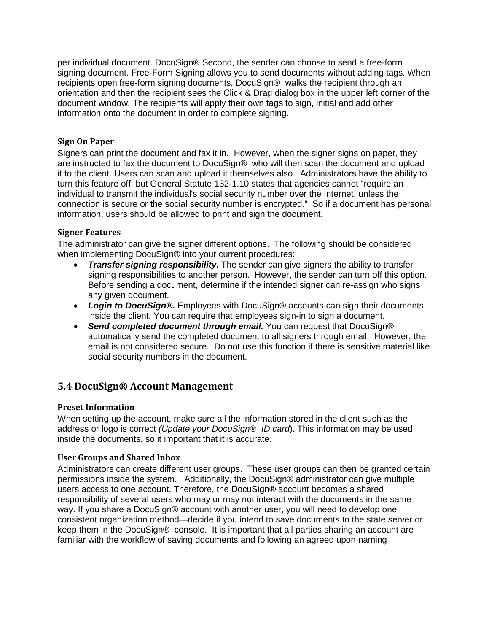per individual document. DocuSign® Second, the sender can choose to send a free-form signing document. Free-Form Signing allows you to send documents without adding tags. When recipients open free-form signing documents, DocuSign® walks the recipient through an orientation and then the recipient sees the Click & Drag dialog box in the upper left corner of the document window. The recipients will apply their own tags to sign, initial and add other information onto the document in order to complete signing.

#### <span id="page-11-0"></span>**Sign On Paper**

Signers can print the document and fax it in. However, when the signer signs on paper, they are instructed to fax the document to DocuSign® who will then scan the document and upload it to the client. Users can scan and upload it themselves also. Administrators have the ability to turn this feature off; but General Statute 132-1.10 states that agencies cannot "require an individual to transmit the individual's social security number over the Internet, unless the connection is secure or the social security number is encrypted." So if a document has personal information, users should be allowed to print and sign the document.

#### <span id="page-11-1"></span>**Signer Features**

The administrator can give the signer different options. The following should be considered when implementing DocuSign® into your current procedures:

- *Transfer signing responsibility.* The sender can give signers the ability to transfer signing responsibilities to another person. However, the sender can turn off this option. Before sending a document, determine if the intended signer can re-assign who signs any given document.
- *Login to DocuSign®.* Employees with DocuSign® accounts can sign their documents inside the client. You can require that employees sign-in to sign a document.
- **Send completed document through email.** You can request that DocuSign® automatically send the completed document to all signers through email. However, the email is not considered secure. Do not use this function if there is sensitive material like social security numbers in the document.

#### <span id="page-11-2"></span>**5.4 DocuSign® Account Management**

#### <span id="page-11-3"></span>**Preset Information**

When setting up the account, make sure all the information stored in the client such as the address or logo is correct *(Update your DocuSign® ID card*). This information may be used inside the documents, so it important that it is accurate.

#### <span id="page-11-4"></span>**User Groups and Shared Inbox**

Administrators can create different user groups. These user groups can then be granted certain permissions inside the system. Additionally, the DocuSign® administrator can give multiple users access to one account. Therefore, the DocuSign® account becomes a shared responsibility of several users who may or may not interact with the documents in the same way. If you share a DocuSign® account with another user, you will need to develop one consistent organization method—decide if you intend to save documents to the state server or keep them in the DocuSign® console. It is important that all parties sharing an account are familiar with the workflow of saving documents and following an agreed upon naming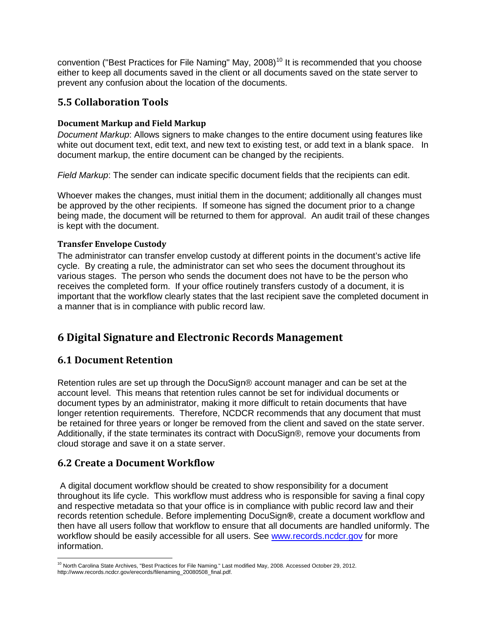convention ("Best Practices for File Naming" May, 2008)<sup>[10](#page-12-6)</sup> It is recommended that you choose either to keep all documents saved in the client or all documents saved on the state server to prevent any confusion about the location of the documents.

# <span id="page-12-0"></span>**5.5 Collaboration Tools**

#### <span id="page-12-1"></span>**Document Markup and Field Markup**

*Document Markup*: Allows signers to make changes to the entire document using features like white out document text, edit text, and new text to existing test, or add text in a blank space. In document markup, the entire document can be changed by the recipients.

*Field Markup*: The sender can indicate specific document fields that the recipients can edit.

Whoever makes the changes, must initial them in the document; additionally all changes must be approved by the other recipients. If someone has signed the document prior to a change being made, the document will be returned to them for approval. An audit trail of these changes is kept with the document.

#### <span id="page-12-2"></span>**Transfer Envelope Custody**

The administrator can transfer envelop custody at different points in the document's active life cycle. By creating a rule, the administrator can set who sees the document throughout its various stages. The person who sends the document does not have to be the person who receives the completed form. If your office routinely transfers custody of a document, it is important that the workflow clearly states that the last recipient save the completed document in a manner that is in compliance with public record law.

# <span id="page-12-3"></span>**6 Digital Signature and Electronic Records Management**

## <span id="page-12-4"></span>**6.1 Document Retention**

Retention rules are set up through the DocuSign® account manager and can be set at the account level. This means that retention rules cannot be set for individual documents or document types by an administrator, making it more difficult to retain documents that have longer retention requirements. Therefore, NCDCR recommends that any document that must be retained for three years or longer be removed from the client and saved on the state server. Additionally, if the state terminates its contract with DocuSign®, remove your documents from cloud storage and save it on a state server.

## <span id="page-12-5"></span>**6.2 Create a Document Workflow**

A digital document workflow should be created to show responsibility for a document throughout its life cycle. This workflow must address who is responsible for saving a final copy and respective metadata so that your office is in compliance with public record law and their records retention schedule. Before implementing DocuSign**®**, create a document workflow and then have all users follow that workflow to ensure that all documents are handled uniformly. The workflow should be easily accessible for all users. See [www.records.ncdcr.gov](http://www.records.ncdcr.gov/) for more information.

<span id="page-12-6"></span> $\overline{\phantom{a}}$ <sup>10</sup> North Carolina State Archives, "Best Practices for File Naming." Last modified May, 2008. Accessed October 29, 2012. http://www.records.ncdcr.gov/erecords/filenaming\_20080508\_final.pdf.